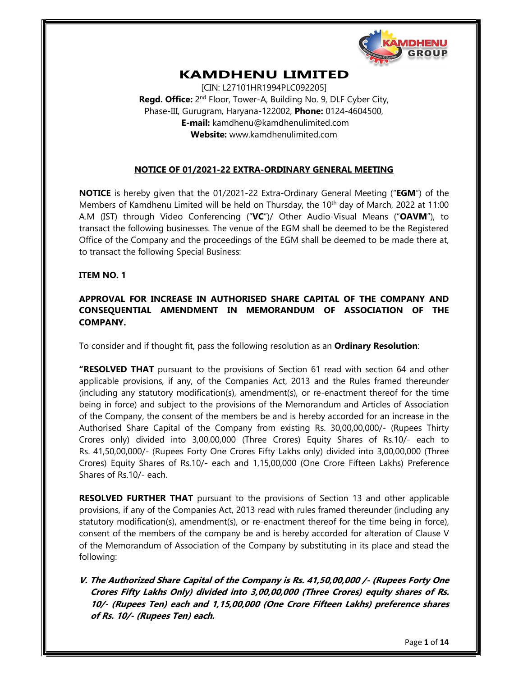

# KAMDHENU LIMITED

[CIN: L27101HR1994PLC092205] **Regd. Office:** 2<sup>nd</sup> Floor, Tower-A, Building No. 9, DLF Cyber City, Phase-III, Gurugram, Haryana-122002, Phone: 0124-4604500, E-mail: kamdhenu@kamdhenulimited.com Website: www.kamdhenulimited.com

### NOTICE OF 01/2021-22 EXTRA-ORDINARY GENERAL MEETING

**NOTICE** is hereby given that the 01/2021-22 Extra-Ordinary General Meeting ("**EGM**") of the Members of Kamdhenu Limited will be held on Thursday, the  $10<sup>th</sup>$  day of March, 2022 at 11:00 A.M (IST) through Video Conferencing ("VC")/ Other Audio-Visual Means ("OAVM"), to transact the following businesses. The venue of the EGM shall be deemed to be the Registered Office of the Company and the proceedings of the EGM shall be deemed to be made there at, to transact the following Special Business:

#### ITEM NO. 1

## APPROVAL FOR INCREASE IN AUTHORISED SHARE CAPITAL OF THE COMPANY AND CONSEQUENTIAL AMENDMENT IN MEMORANDUM OF ASSOCIATION OF THE COMPANY.

To consider and if thought fit, pass the following resolution as an **Ordinary Resolution**:

**"RESOLVED THAT** pursuant to the provisions of Section 61 read with section 64 and other applicable provisions, if any, of the Companies Act, 2013 and the Rules framed thereunder (including any statutory modification(s), amendment(s), or re-enactment thereof for the time being in force) and subject to the provisions of the Memorandum and Articles of Association of the Company, the consent of the members be and is hereby accorded for an increase in the Authorised Share Capital of the Company from existing Rs. 30,00,00,000/- (Rupees Thirty Crores only) divided into 3,00,00,000 (Three Crores) Equity Shares of Rs.10/- each to Rs. 41,50,00,000 (Three Crores) Equity Shares of Rs.10/- each and 1,15,00,000 (One Crore Fifteen Lakhs) Preference Shares of Rs.10/- each.

RESOLVED FURTHER THAT pursuant to the provisions of Section 13 and other applicable provisions, if any of the Companies Act, 2013 read with rules framed thereunder (including any statutory modification(s), amendment(s), or re-enactment thereof for the time being in force), consent of the members of the company be and is hereby accorded for alteration of Clause V of the Memorandum of Association of the Company by substituting in its place and stead the following:

V. The Authorized Share Capital of the Company is Rs. 41,50,00,000 /- (Rupees Forty One Crores Fifty Lakhs Only) divided into 3,00,00,000 (Three Crores) equity shares of Rs. 10/- (Rupees Ten) each and 1,15,00,000 (One Crore Fifteen Lakhs) preference shares of Rs. 10/- (Rupees Ten) each.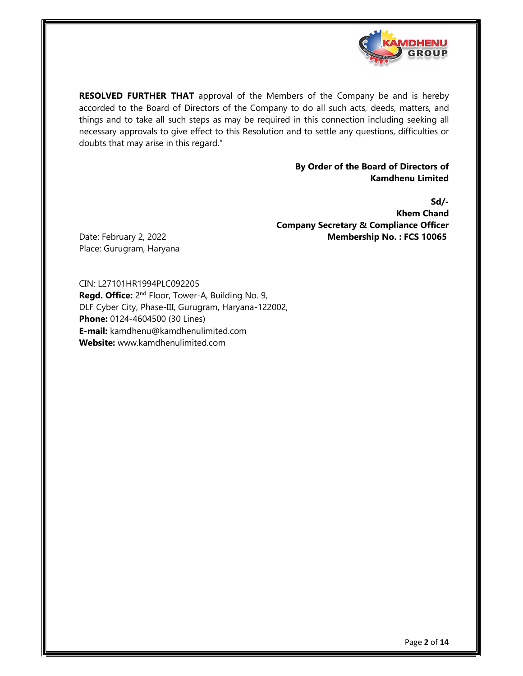

RESOLVED FURTHER THAT approval of the Members of the Company be and is hereby accorded to the Board of Directors of the Company to do all such acts, deeds, matters, and things and to take all such steps as may be required in this connection including seeking all necessary approvals to give effect to this Resolution and to settle any questions, difficulties or doubts that may arise in this regard."

#### By Order of the Board of Directors of Kamdhenu Limited

Sd/- Khem Chand Company Secretary & Compliance Officer

Date: February 2, 2022 **Membership No. : FCS 10065**<br>Place: Gurugram, Haryana

CIN: L27101HR1994PLC092205 Regd. Office: 2<sup>nd</sup> Floor, Tower-A, Building No. 9, DLF Cyber City, Phase-III, Gurugram, Haryana-122002, Phone: 0124-4604500 (30 Lines) E-mail: kamdhenu@kamdhenulimited.com Website: www.kamdhenulimited.com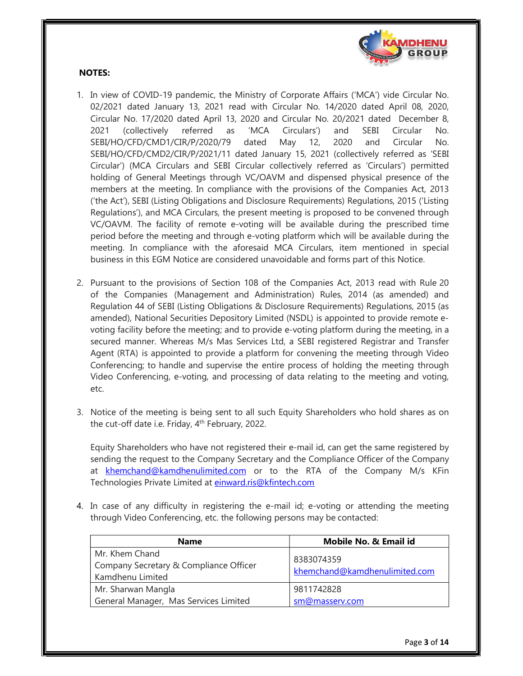

### NOTES:

- 1. In view of COVID-19 pandemic, the Ministry of Corporate Affairs ('MCA') vide Circular No. 02/2021 dated January 13, 2021 read with Circular No. 14/2020 dated April 08, 2020, Circular No. 17/2020 dated April 13, 2020 and Circular No. 20/2021 dated December 8, 2021 (collectively referred as 'MCA Circulars') and SEBI Circular No. SEBI/HO/CFD/CMD1/CIR/P/2020/79 dated May 12, 2020 and Circular No. SEBI/HO/CFD/CMD2/CIR/P/2021/11 dated January 15, 2021 (collectively referred as 'SEBI Circular') (MCA Circulars and SEBI Circular collectively referred as 'Circulars') permitted holding of General Meetings through VC/OAVM and dispensed physical presence of the members at the meeting. In compliance with the provisions of the Companies Act, 2013 ('the Act'), SEBI (Listing Obligations and Disclosure Requirements) Regulations, 2015 ('Listing Regulations'), and MCA Circulars, the present meeting is proposed to be convened through VC/OAVM. The facility of remote e-voting will be available during the prescribed time period before the meeting and through e-voting platform which will be available during the meeting. In compliance with the aforesaid MCA Circulars, item mentioned in special business in this EGM Notice are considered unavoidable and forms part of this Notice.
- 2. Pursuant to the provisions of Section 108 of the Companies Act, 2013 read with Rule 20 of the Companies (Management and Administration) Rules, 2014 (as amended) and Regulation 44 of SEBI (Listing Obligations & Disclosure Requirements) Regulations, 2015 (as amended), National Securities Depository Limited (NSDL) is appointed to provide remote evoting facility before the meeting; and to provide e-voting platform during the meeting, in a secured manner. Whereas M/s Mas Services Ltd, a SEBI registered Registrar and Transfer Agent (RTA) is appointed to provide a platform for convening the meeting through Video Conferencing; to handle and supervise the entire process of holding the meeting through Video Conferencing, e-voting, and processing of data relating to the meeting and voting, etc.
- 3. Notice of the meeting is being sent to all such Equity Shareholders who hold shares as on the cut-off date i.e. Friday,  $4<sup>th</sup>$  February, 2022.

Equity Shareholders who have not registered their e-mail id, can get the same registered by sending the request to the Company Secretary and the Compliance Officer of the Company at khemchand@kamdhenulimited.com</u> or to the RTA of the Company M/s KFin Technologies Private Limited at einward.ris@kfintech.com

4. In case of any difficulty in registering the e-mail id; e-voting or attending the meeting through Video Conferencing, etc. the following persons may be contacted:

| <b>Name</b>                                                                  | Mobile No. & Email id                       |
|------------------------------------------------------------------------------|---------------------------------------------|
| Mr. Khem Chand<br>Company Secretary & Compliance Officer<br>Kamdhenu Limited | 8383074359<br>khemchand@kamdhenulimited.com |
| Mr. Sharwan Mangla                                                           | 9811742828                                  |
| General Manager, Mas Services Limited                                        | sm@masserv.com                              |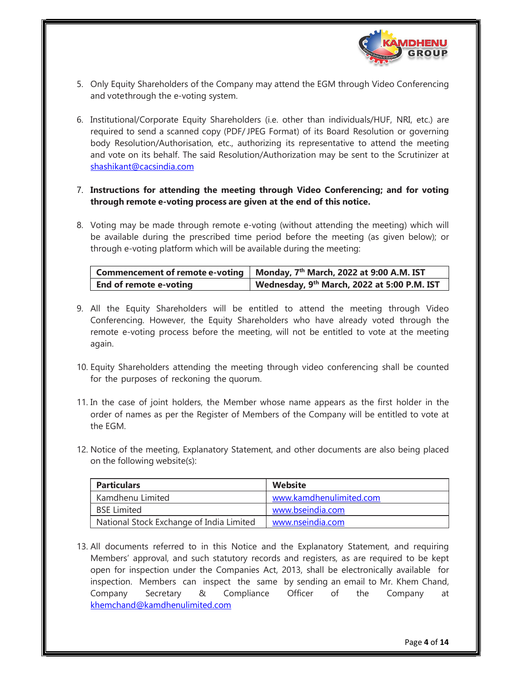

- 5. Only Equity Shareholders of the Company may attend the EGM through Video Conferencing and vote through the e-voting system.
- 6. Institutional/Corporate Equity Shareholders (i.e. other than individuals/HUF, NRI, etc.) are required to send a scanned copy (PDF/ JPEG Format) of its Board Resolution or governing body Resolution/Authorisation, etc., authorizing its representative to attend the meeting and vote on its behalf. The said Resolution/Authorization may be sent to the Scrutinizer at shashikant@cacsindia.com

7. Instructions for attending the meeting through Video Conferencing; and for voting through remote e-voting process are given at the end of this notice.

8. Voting may be made through remote e-voting (without attending the meeting) which will be available during the prescribed time period before the meeting (as given below); or through e-voting platform which will be available during the meeting:

| Commencement of remote e-voting   Monday, $7th$ March, 2022 at 9:00 A.M. IST      |  |
|-----------------------------------------------------------------------------------|--|
| Wednesday, 9 <sup>th</sup> March, 2022 at 5:00 P.M. IST<br>End of remote e-votina |  |

- 9. All the Equity Shareholders will be entitled to attend the meeting through Video Conferencing. However, the Equity Shareholders who have already voted through the remote e-voting process before the meeting, will not be entitled to vote at the meeting again.
- 10. Equity Shareholders attending the meeting through video conferencing shall be counted for the purposes of reckoning the quorum.
- 11. In the case of joint holders, the Member whose name appears as the first holder in the order of names as per the Register of Members of the Company will be entitled to vote at the EGM.
- 12. Notice of the meeting, Explanatory Statement, and other documents are also being placed on the following website(s):

| <b>Particulars</b>                       | Website                 |
|------------------------------------------|-------------------------|
| Kamdhenu Limited                         | www.kamdhenulimited.com |
| <b>BSE Limited</b>                       | www.bseindia.com        |
| National Stock Exchange of India Limited | www.nseindia.com        |

13. All documents referred to in this Notice and the Explanatory Statement, and requiring Members' approval, and such statutory records and registers, as are required to be kept open for inspection under the Companies Act, 2013, shall be electronically available for inspection. Members can inspect the same by sending an email to Mr. Khem Chand, Company Secretary & Compliance Officer of the Company at khemchand@kamdhenulimited.com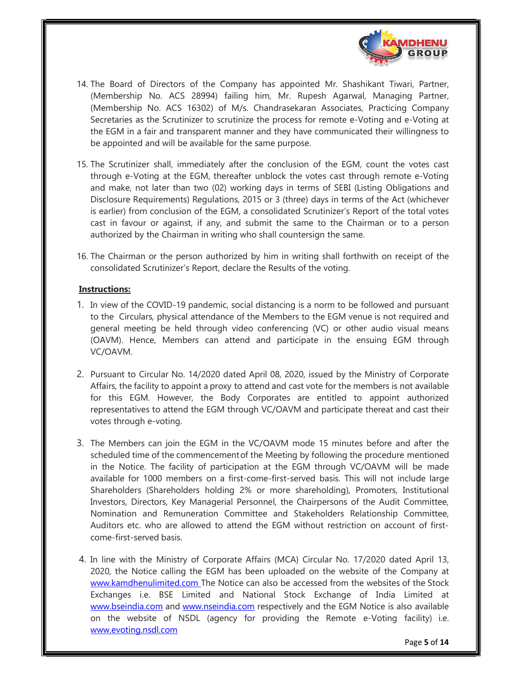

- 14. The Board of Directors of the Company has appointed Mr. Shashikant Tiwari, Partner, (Membership No. ACS 28994) failing him, Mr. Rupesh Agarwal, Managing Partner, (Membership No. ACS 16302) of M/s. Chandrasekaran Associates, Practicing Company Secretaries as the Scrutinizer to scrutinize the process for remote e-Voting and e-Voting at the EGM in a fair and transparent manner and they have communicated their willingness to be appointed and will be available for the same purpose.
- 15. The Scrutinizer shall, immediately after the conclusion of the EGM, count the votes cast through e-Voting at the EGM, thereafter unblock the votes cast through remote e-Voting and make, not later than two (02) working days in terms of SEBI (Listing Obligations and Disclosure Requirements) Regulations, 2015 or 3 (three) days in terms of the Act (whichever is earlier) from conclusion of the EGM, a consolidated Scrutinizer's Report of the total votes cast in favour or against, if any, and submit the same to the Chairman or to a person authorized by the Chairman in writing who shall countersign the same.
- 16. The Chairman or the person authorized by him in writing shall forthwith on receipt of the consolidated Scrutinizer's Report, declare the Results of the voting.

### Instructions:

- 1. In view of the COVID-19 pandemic, social distancing is a norm to be followed and pursuant to the Circulars, physical attendance of the Members to the EGM venue is not required and general meeting be held through video conferencing (VC) or other audio visual means (OAVM). Hence, Members can attend and participate in the ensuing EGM through VC/OAVM.
- 2. Pursuant to Circular No. 14/2020 dated April 08, 2020, issued by the Ministry of Corporate Affairs, the facility to appoint a proxy to attend and cast vote for the members is not available for this EGM. However, the Body Corporates are entitled to appoint authorized representatives to attend the EGM through VC/OAVM and participate thereat and cast their votes through e-voting.
- 3. The Members can join the EGM in the VC/OAVM mode 15 minutes before and after the scheduled time of the commencement of the Meeting by following the procedure mentioned in the Notice. The facility of participation at the EGM through VC/OAVM will be made available for 1000 members on a first-come-first-served basis. This will not include large Shareholders (Shareholders holding 2% or more shareholding), Promoters, Institutional Investors, Directors, Key Managerial Personnel, the Chairpersons of the Audit Committee, Nomination and Remuneration Committee and Stakeholders Relationship Committee, Auditors etc. who are allowed to attend the EGM without restriction on account of firstcome-first-served basis.
- 4. In line with the Ministry of Corporate Affairs (MCA) Circular No. 17/2020 dated April 13, 2020, the Notice calling the EGM has been uploaded on the website of the Company at www.kamdhenulimited.com The Notice can also be accessed from the websites of the Stock Exchanges i.e. BSE Limited and National Stock Exchange of India Limited at www.bseindia.com and www.nseindia.com respectively and the EGM Notice is also available on the website of NSDL (agency for providing the Remote e-Voting facility) i.e. www.evoting.nsdl.com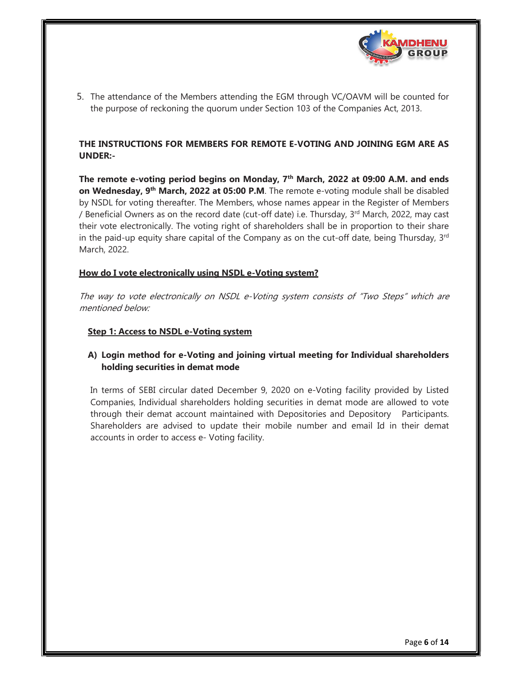

5. The attendance of the Members attending the EGM through VC/OAVM will be counted for the purpose of reckoning the quorum under Section 103 of the Companies Act, 2013.

## THE INSTRUCTIONS FOR MEMBERS FOR REMOTE E-VOTING AND JOINING EGM ARE AS UNDER:-

The remote e-voting period begins on Monday, 7<sup>th</sup> March, 2022 at 09:00 A.M. and ends on Wednesday, 9<sup>th</sup> March, 2022 at 05:00 P.M. The remote e-voting module shall be disabled by NSDL for voting thereafter. The Members, whose names appear in the Register of Members / Beneficial Owners as on the record date (cut-off date) i.e. Thursday, 3rd March, 2022, may cast their vote electronically. The voting right of shareholders shall be in proportion to their share in the paid-up equity share capital of the Company as on the cut-off date, being Thursday,  $3<sup>rd</sup>$ March, 2022.

### How do I vote electronically using NSDL e-Voting system?

The way to vote electronically on NSDL e-Voting system consists of "Two Steps" which are mentioned below:

#### Step 1: Access to NSDL e-Voting system

## A) Login method for e-Voting and joining virtual meeting for Individual shareholders holding securities in demat mode

In terms of SEBI circular dated December 9, 2020 on e-Voting facility provided by Listed Companies, Individual shareholders holding securities in demat mode are allowed to vote through their demat account maintained with Depositories and Depository Participants. Shareholders are advised to update their mobile number and email Id in their demat accounts in order to access e- Voting facility.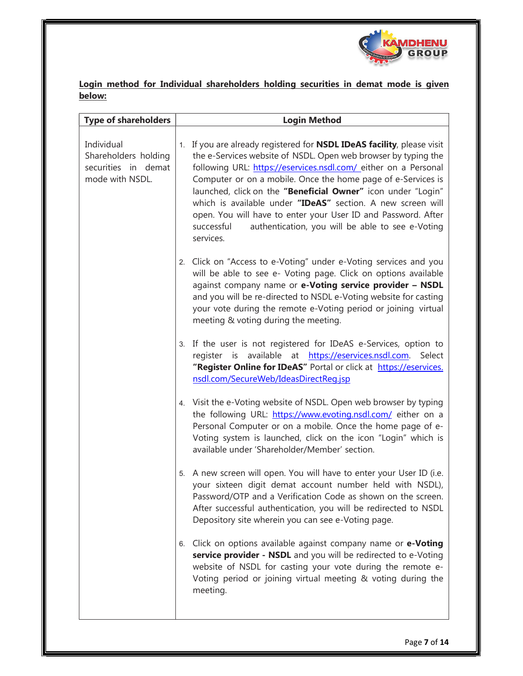

Login method for Individual shareholders holding securities in demat mode is given below:

| <b>Type of shareholders</b>                                                  | <b>Login Method</b>                                                                                                                                                                                                                                                                                                                                                                                                                                                                                                                                                |
|------------------------------------------------------------------------------|--------------------------------------------------------------------------------------------------------------------------------------------------------------------------------------------------------------------------------------------------------------------------------------------------------------------------------------------------------------------------------------------------------------------------------------------------------------------------------------------------------------------------------------------------------------------|
| Individual<br>Shareholders holding<br>securities in demat<br>mode with NSDL. | 1. If you are already registered for <b>NSDL IDeAS facility</b> , please visit<br>the e-Services website of NSDL. Open web browser by typing the<br>following URL: https://eservices.nsdl.com/ either on a Personal<br>Computer or on a mobile. Once the home page of e-Services is<br>launched, click on the "Beneficial Owner" icon under "Login"<br>which is available under "IDeAS" section. A new screen will<br>open. You will have to enter your User ID and Password. After<br>authentication, you will be able to see e-Voting<br>successful<br>services. |
|                                                                              | 2. Click on "Access to e-Voting" under e-Voting services and you<br>will be able to see e- Voting page. Click on options available<br>against company name or e-Voting service provider - NSDL<br>and you will be re-directed to NSDL e-Voting website for casting<br>your vote during the remote e-Voting period or joining virtual<br>meeting & voting during the meeting.                                                                                                                                                                                       |
|                                                                              | 3. If the user is not registered for IDeAS e-Services, option to<br>register is available at https://eservices.nsdl.com. Select<br>"Register Online for IDeAS" Portal or click at https://eservices.<br>nsdl.com/SecureWeb/IdeasDirectReq.jsp                                                                                                                                                                                                                                                                                                                      |
|                                                                              | 4. Visit the e-Voting website of NSDL. Open web browser by typing<br>the following URL: https://www.evoting.nsdl.com/ either on a<br>Personal Computer or on a mobile. Once the home page of e-<br>Voting system is launched, click on the icon "Login" which is<br>available under 'Shareholder/Member' section.                                                                                                                                                                                                                                                  |
|                                                                              | 5. A new screen will open. You will have to enter your User ID (i.e.<br>your sixteen digit demat account number held with NSDL),<br>Password/OTP and a Verification Code as shown on the screen.<br>After successful authentication, you will be redirected to NSDL<br>Depository site wherein you can see e-Voting page.                                                                                                                                                                                                                                          |
|                                                                              | 6. Click on options available against company name or e-Voting<br>service provider - NSDL and you will be redirected to e-Voting<br>website of NSDL for casting your vote during the remote e-<br>Voting period or joining virtual meeting & voting during the<br>meeting.                                                                                                                                                                                                                                                                                         |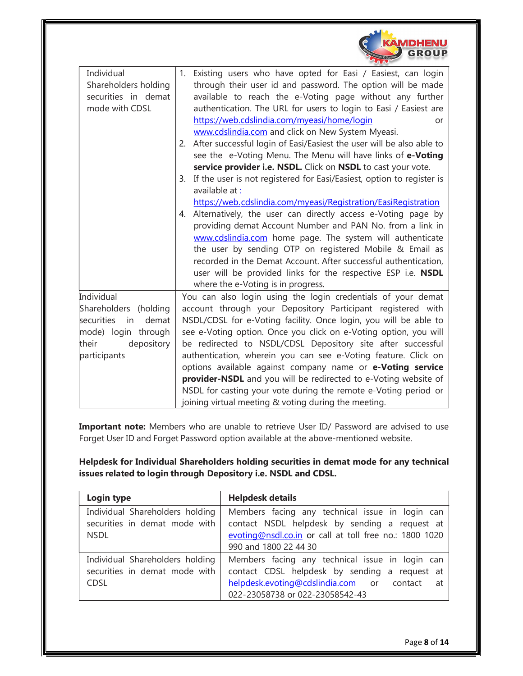|                                                                                                                                | <b>AMDHENU</b><br><b>GROUP</b>                                                                                                                                                                                                                                                                                                                                                                                                                                                                                                                                                                                                                                                                                                                                                                                                                                                                                                                                                                                                                                                                                                                                                       |
|--------------------------------------------------------------------------------------------------------------------------------|--------------------------------------------------------------------------------------------------------------------------------------------------------------------------------------------------------------------------------------------------------------------------------------------------------------------------------------------------------------------------------------------------------------------------------------------------------------------------------------------------------------------------------------------------------------------------------------------------------------------------------------------------------------------------------------------------------------------------------------------------------------------------------------------------------------------------------------------------------------------------------------------------------------------------------------------------------------------------------------------------------------------------------------------------------------------------------------------------------------------------------------------------------------------------------------|
| Individual<br>Shareholders holding<br>securities in demat<br>mode with CDSL                                                    | Existing users who have opted for Easi / Easiest, can login<br>1.<br>through their user id and password. The option will be made<br>available to reach the e-Voting page without any further<br>authentication. The URL for users to login to Easi / Easiest are<br>https://web.cdslindia.com/myeasi/home/login<br>or<br>www.cdslindia.com and click on New System Myeasi.<br>2. After successful login of Easi/Easiest the user will be also able to<br>see the e-Voting Menu. The Menu will have links of e-Voting<br>service provider i.e. NSDL. Click on NSDL to cast your vote.<br>3. If the user is not registered for Easi/Easiest, option to register is<br>available at:<br>https://web.cdslindia.com/myeasi/Registration/EasiRegistration<br>4. Alternatively, the user can directly access e-Voting page by<br>providing demat Account Number and PAN No. from a link in<br>www.cdslindia.com home page. The system will authenticate<br>the user by sending OTP on registered Mobile & Email as<br>recorded in the Demat Account. After successful authentication,<br>user will be provided links for the respective ESP i.e. NSDL<br>where the e-Voting is in progress. |
| Individual<br>Shareholders<br>(holding<br>securities in<br>demat<br>mode) login through<br>their<br>depository<br>participants | You can also login using the login credentials of your demat<br>account through your Depository Participant registered with<br>NSDL/CDSL for e-Voting facility. Once login, you will be able to<br>see e-Voting option. Once you click on e-Voting option, you will<br>be redirected to NSDL/CDSL Depository site after successful<br>authentication, wherein you can see e-Voting feature. Click on<br>options available against company name or e-Voting service<br>provider-NSDL and you will be redirected to e-Voting website of<br>NSDL for casting your vote during the remote e-Voting period or<br>joining virtual meeting & voting during the meeting.                                                                                                                                                                                                                                                                                                                                                                                                                                                                                                                     |

Important note: Members who are unable to retrieve User ID/ Password are advised to use Forget User ID and Forget Password option available at the above-mentioned website.

Helpdesk for Individual Shareholders holding securities in demat mode for any technical issues related to login through Depository i.e. NSDL and CDSL.

| Login type                                                                      | <b>Helpdesk details</b>                                                                                                                                                             |  |
|---------------------------------------------------------------------------------|-------------------------------------------------------------------------------------------------------------------------------------------------------------------------------------|--|
| Individual Shareholders holding<br>securities in demat mode with<br><b>NSDL</b> | Members facing any technical issue in login can<br>contact NSDL helpdesk by sending a request at<br>evoting@nsdl.co.in or call at toll free no.: 1800 1020<br>990 and 1800 22 44 30 |  |
| Individual Shareholders holding<br>securities in demat mode with<br><b>CDSL</b> | Members facing any technical issue in login can<br>contact CDSL helpdesk by sending a request at<br>helpdesk.evoting@cdslindia.com or contact at<br>022-23058738 or 022-23058542-43 |  |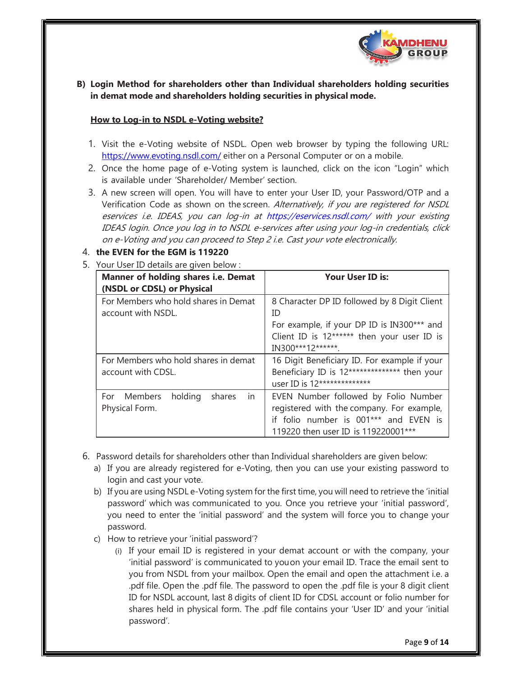

B) Login Method for shareholders other than Individual shareholders holding securities in demat mode and shareholders holding securities in physical mode.

#### How to Log-in to NSDL e-Voting website?

- 1. Visit the e-Voting website of NSDL. Open web browser by typing the following URL: https://www.evoting.nsdl.com/ either on a Personal Computer or on a mobile.
- 2. Once the home page of e-Voting system is launched, click on the icon "Login" which is available under 'Shareholder/ Member' section.
- 3. A new screen will open. You will have to enter your User ID, your Password/OTP and a Verification Code as shown on the screen. Alternatively, if you are registered for NSDL eservices i.e. IDEAS, you can log-in at https://eservices.nsdl.com/ with your existing IDEAS login. Once you log in to NSDL e-services after using your log-in credentials, click on e-Voting and you can proceed to Step 2 i.e. Cast your vote electronically.

### 4. the EVEN for the EGM is 119220

5. Your User ID details are given below :

| Manner of holding shares i.e. Demat<br>(NSDL or CDSL) or Physical  | Your User ID is:                                                                                                                                                    |
|--------------------------------------------------------------------|---------------------------------------------------------------------------------------------------------------------------------------------------------------------|
| For Members who hold shares in Demat<br>account with NSDL.         | 8 Character DP ID followed by 8 Digit Client<br>ID<br>For example, if your DP ID is IN300*** and<br>Client ID is 12****** then your user ID is<br>IN300***12******. |
| For Members who hold shares in demat<br>account with CDSL.         | 16 Digit Beneficiary ID. For example if your<br>Beneficiary ID is 12************** then your<br>user ID is 12**************                                         |
| Members<br>holding<br>For<br>shares<br><i>in</i><br>Physical Form. | EVEN Number followed by Folio Number<br>registered with the company. For example,<br>if folio number is 001*** and EVEN is<br>119220 then user ID is 119220001***   |

- 6. Password details for shareholders other than Individual shareholders are given below:
	- a) If you are already registered for e-Voting, then you can use your existing password to login and cast your vote.
	- b) If you are using NSDL e-Voting system for the first time, you will need to retrieve the 'initial password' which was communicated to you. Once you retrieve your 'initial password', you need to enter the 'initial password' and the system will force you to change your password.
	- c) How to retrieve your 'initial password'?
		- (i) If your email ID is registered in your demat account or with the company, your 'initial password' is communicated to you on your email ID. Trace the email sent to you from NSDL from your mailbox. Open the email and open the attachment i.e. a .pdf file. Open the .pdf file. The password to open the .pdf file is your 8 digit client ID for NSDL account, last 8 digits of client ID for CDSL account or folio number for shares held in physical form. The .pdf file contains your 'User ID' and your 'initial password'.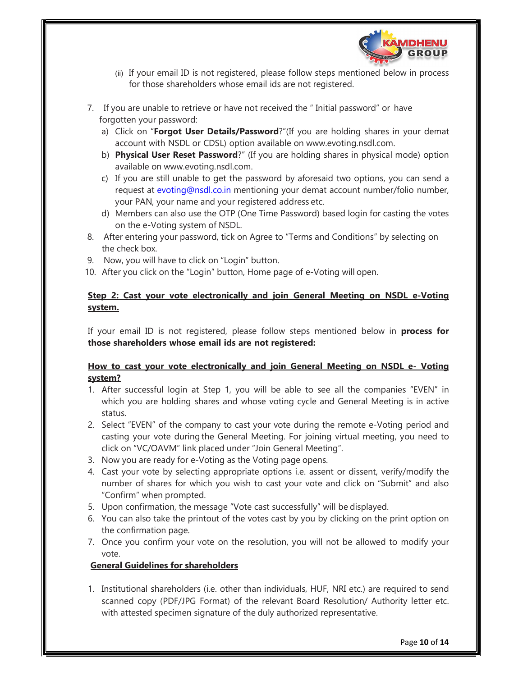

- (ii) If your email ID is not registered, please follow steps mentioned below in process for those shareholders whose email ids are not registered.
- 7. If you are unable to retrieve or have not received the " Initial password" or have forgotten your password:
	- a) Click on "Forgot User Details/Password?"(If you are holding shares in your demat account with NSDL or CDSL) option available on www.evoting.nsdl.com.
	- b) Physical User Reset Password?" (If you are holding shares in physical mode) option available on www.evoting.nsdl.com.
	- c) If you are still unable to get the password by aforesaid two options, you can send a request at evoting@nsdl.co.in mentioning your demat account number/folio number, your PAN, your name and your registered address etc.
	- d) Members can also use the OTP (One Time Password) based login for casting the votes on the e-Voting system of NSDL.
- 8. After entering your password, tick on Agree to "Terms and Conditions" by selecting on the check box.
- 9. Now, you will have to click on "Login" button.
- 10. After you click on the "Login" button, Home page of e-Voting will open.

## Step 2: Cast your vote electronically and join General Meeting on NSDL e-Voting system.

If your email ID is not registered, please follow steps mentioned below in **process for** those shareholders whose email ids are not registered:

## How to cast your vote electronically and join General Meeting on NSDL e- Voting system?

- 1. After successful login at Step 1, you will be able to see all the companies "EVEN" in which you are holding shares and whose voting cycle and General Meeting is in active status.
- 2. Select "EVEN" of the company to cast your vote during the remote e-Voting period and casting your vote during the General Meeting. For joining virtual meeting, you need to click on "VC/OAVM" link placed under "Join General Meeting".
- 3. Now you are ready for e-Voting as the Voting page opens.
- 4. Cast your vote by selecting appropriate options i.e. assent or dissent, verify/modify the number of shares for which you wish to cast your vote and click on "Submit" and also "Confirm" when prompted.
- 5. Upon confirmation, the message "Vote cast successfully" will be displayed.
- 6. You can also take the printout of the votes cast by you by clicking on the print option on the confirmation page.
- 7. Once you confirm your vote on the resolution, you will not be allowed to modify your vote.

## General Guidelines for shareholders

1. Institutional shareholders (i.e. other than individuals, HUF, NRI etc.) are required to send scanned copy (PDF/JPG Format) of the relevant Board Resolution/ Authority letter etc. with attested specimen signature of the duly authorized representative.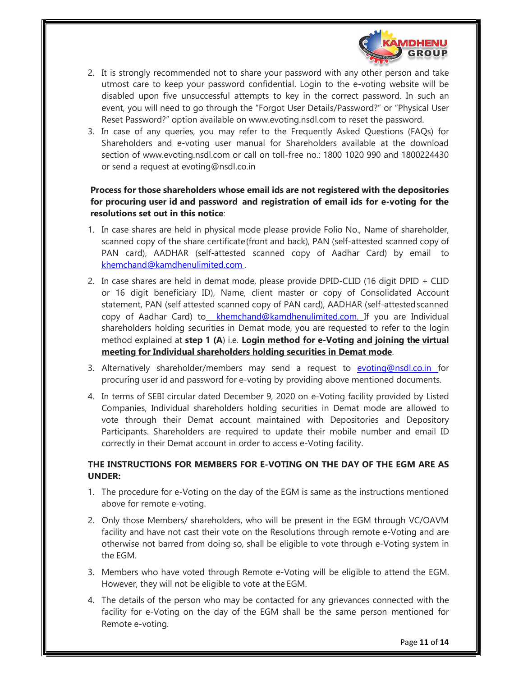

- 2. It is strongly recommended not to share your password with any other person and take utmost care to keep your password confidential. Login to the e-voting website will be disabled upon five unsuccessful attempts to key in the correct password. In such an event, you will need to go through the "Forgot User Details/Password?" or "Physical User Reset Password?" option available on www.evoting.nsdl.com to reset the password.
- 3. In case of any queries, you may refer to the Frequently Asked Questions (FAQs) for Shareholders and e-voting user manual for Shareholders available at the download section of www.evoting.nsdl.com or call on toll-free no.: 1800 1020 990 and 1800224430 or send a request at evoting@nsdl.co.in

## Process for those shareholders whose email ids are not registered with the depositories for procuring user id and password and registration of email ids for e-voting for the resolutions set out in this notice:

- 1. In case shares are held in physical mode please provide Folio No., Name of shareholder, scanned copy of the share certificate (front and back), PAN (self-attested scanned copy of PAN card), AADHAR (self-attested scanned copy of Aadhar Card) by email to khemchand@kamdhenulimited.com .
- 2. In case shares are held in demat mode, please provide DPID-CLID (16 digit DPID + CLID or 16 digit beneficiary ID), Name, client master or copy of Consolidated Account statement, PAN (self attested scanned copy of PAN card), AADHAR (self-attested scanned copy of Aadhar Card) to khemchand@kamdhenulimited.com. If you are Individual shareholders holding securities in Demat mode, you are requested to refer to the login method explained at step 1  $(A)$  i.e. Login method for e-Voting and joining the virtual meeting for Individual shareholders holding securities in Demat mode.
- 3. Alternatively shareholder/members may send a request to evoting@nsdl.co.in for procuring user id and password for e-voting by providing above mentioned documents.
- 4. In terms of SEBI circular dated December 9, 2020 on e-Voting facility provided by Listed Companies, Individual shareholders holding securities in Demat mode are allowed to vote through their Demat account maintained with Depositories and Depository Participants. Shareholders are required to update their mobile number and email ID correctly in their Demat account in order to access e-Voting facility.

## THE INSTRUCTIONS FOR MEMBERS FOR E-VOTING ON THE DAY OF THE EGM ARE AS UNDER:

- 1. The procedure for e-Voting on the day of the EGM is same as the instructions mentioned above for remote e-voting.
- 2. Only those Members/ shareholders, who will be present in the EGM through VC/OAVM facility and have not cast their vote on the Resolutions through remote e-Voting and are otherwise not barred from doing so, shall be eligible to vote through e-Voting system in the EGM.
- 3. Members who have voted through Remote e-Voting will be eligible to attend the EGM. However, they will not be eligible to vote at the EGM.
- 4. The details of the person who may be contacted for any grievances connected with the facility for e-Voting on the day of the EGM shall be the same person mentioned for Remote e-voting.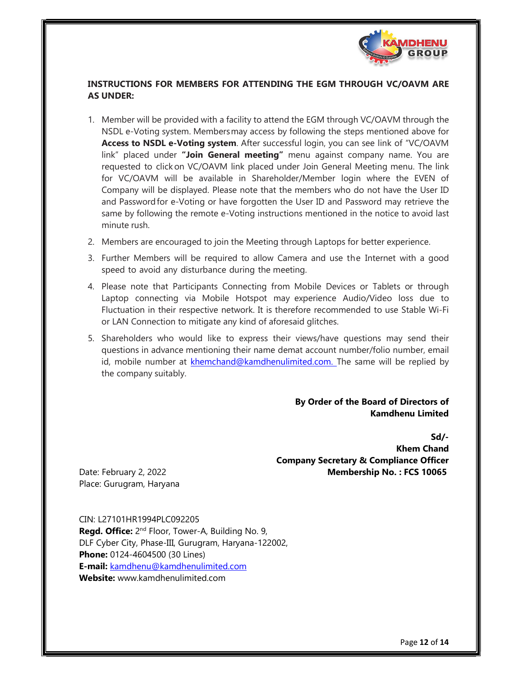

## INSTRUCTIONS FOR MEMBERS FOR ATTENDING THE EGM THROUGH VC/OAVM ARE AS UNDER:

- 1. Member will be provided with a facility to attend the EGM through VC/OAVM through the NSDL e-Voting system. Members may access by following the steps mentioned above for Access to NSDL e-Voting system. After successful login, you can see link of "VC/OAVM link" placed under "Join General meeting" menu against company name. You are requested to click on VC/OAVM link placed under Join General Meeting menu. The link for VC/OAVM will be available in Shareholder/Member login where the EVEN of Company will be displayed. Please note that the members who do not have the User ID and Password for e-Voting or have forgotten the User ID and Password may retrieve the same by following the remote e-Voting instructions mentioned in the notice to avoid last minute rush.
- 2. Members are encouraged to join the Meeting through Laptops for better experience.
- 3. Further Members will be required to allow Camera and use the Internet with a good speed to avoid any disturbance during the meeting.
- 4. Please note that Participants Connecting from Mobile Devices or Tablets or through Laptop connecting via Mobile Hotspot may experience Audio/Video loss due to Fluctuation in their respective network. It is therefore recommended to use Stable Wi-Fi or LAN Connection to mitigate any kind of aforesaid glitches.
- 5. Shareholders who would like to express their views/have questions may send their questions in advance mentioning their name demat account number/folio number, email id, mobile number at khemchand@kamdhenulimited.com. The same will be replied by the company suitably.

By Order of the Board of Directors of Kamdhenu Limited

Sd/- Khem Chand Company Secretary & Compliance Officer

Date: February 2, 2022 **Membership No. : FCS 10065** Membership No. : FCS 10065 Place: Gurugram, Haryana

CIN: L27101HR1994PLC092205 Regd. Office: 2<sup>nd</sup> Floor, Tower-A, Building No. 9, DLF Cyber City, Phase-III, Gurugram, Haryana-122002, Phone: 0124-4604500 (30 Lines) E-mail: kamdhenu@kamdhenulimited.com Website: www.kamdhenulimited.com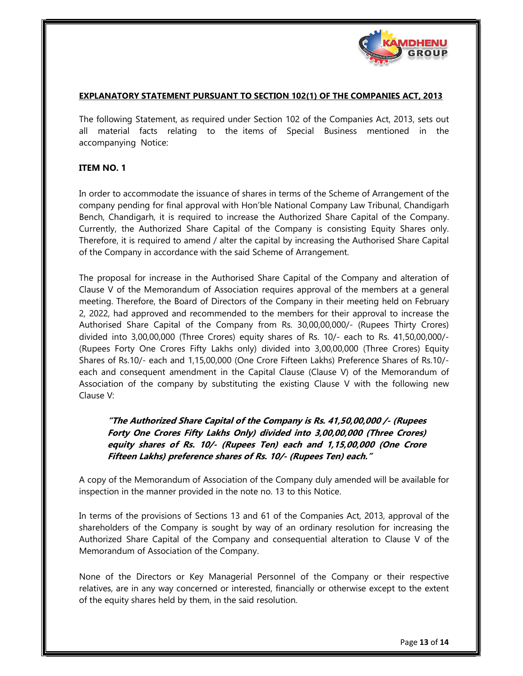

#### EXPLANATORY STATEMENT PURSUANT TO SECTION 102(1) OF THE COMPANIES ACT, 2013

The following Statement, as required under Section 102 of the Companies Act, 2013, sets out all material facts relating to the items of Special Business mentioned in the accompanying Notice:

### ITEM NO. 1

In order to accommodate the issuance of shares in terms of the Scheme of Arrangement of the company pending for final approval with Hon'ble National Company Law Tribunal, Chandigarh Bench, Chandigarh, it is required to increase the Authorized Share Capital of the Company. Currently, the Authorized Share Capital of the Company is consisting Equity Shares only. Therefore, it is required to amend / alter the capital by increasing the Authorised Share Capital of the Company in accordance with the said Scheme of Arrangement.

The proposal for increase in the Authorised Share Capital of the Company and alteration of Clause V of the Memorandum of Association requires approval of the members at a general meeting. Therefore, the Board of Directors of the Company in their meeting held on February 2, 2022, had approved and recommended to the members for their approval to increase the Authorised Share Capital of the Company from Rs. 30,00,00,000/- (Rupees Thirty Crores) divided into 3,00,00,000 (Three Crores) equity shares of Rs. 10/- each to Rs. 41,50,00,000/- (Rupees Forty One Crores Fifty Lakhs only) divided into 3,00,00,000 (Three Crores) Equity Shares of Rs.10/- each and 1,15,00,000 (One Crore Fifteen Lakhs) Preference Shares of Rs.10/ each and consequent amendment in the Capital Clause (Clause V) of the Memorandum of Association of the company by substituting the existing Clause V with the following new Clause V:

## "The Authorized Share Capital of the Company is Rs. 41,50,00,000 /- (Rupees Forty One Crores Fifty Lakhs Only) divided into 3,00,00,000 (Three Crores) equity shares of Rs. 10/- (Rupees Ten) each and 1,15,00,000 (One Crore Fifteen Lakhs) preference shares of Rs. 10/- (Rupees Ten) each."

A copy of the Memorandum of Association of the Company duly amended will be available for inspection in the manner provided in the note no. 13 to this Notice.

In terms of the provisions of Sections 13 and 61 of the Companies Act, 2013, approval of the shareholders of the Company is sought by way of an ordinary resolution for increasing the Authorized Share Capital of the Company and consequential alteration to Clause V of the Memorandum of Association of the Company.

None of the Directors or Key Managerial Personnel of the Company or their respective relatives, are in any way concerned or interested, financially or otherwise except to the extent of the equity shares held by them, in the said resolution.